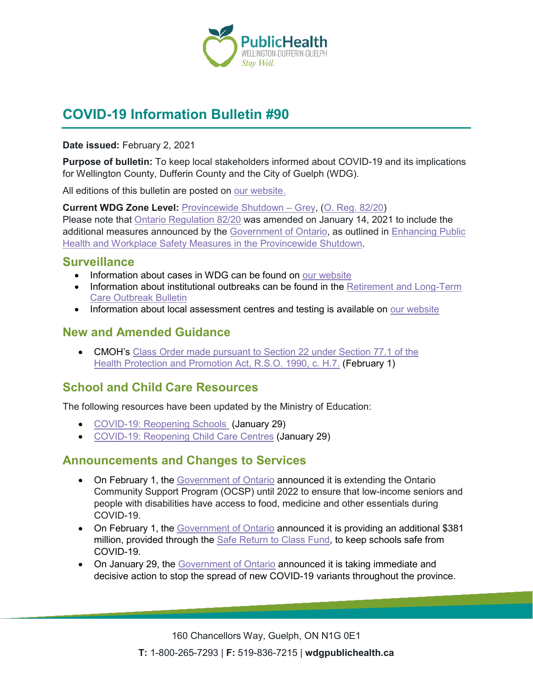

# **COVID-19 Information Bulletin #90**

**Date issued:** February 2, 2021

**Purpose of bulletin:** To keep local stakeholders informed about COVID-19 and its implications for Wellington County, Dufferin County and the City of Guelph (WDG).

All editions of this bulletin are posted on [our website.](https://www.wdgpublichealth.ca/your-health/covid-19-information-workplaces-and-living-spaces/community-stakeholder-bulletins)

**Current WDG Zone Level:** [Provincewide Shutdown –](https://www.ontario.ca/page/covid-19-provincewide-shutdown) Grey, (O. Reg. [82/20\)](https://www.ontario.ca/laws/regulation/200082) Please note that [Ontario Regulation 82/20](https://www.ontario.ca/laws/regulation/200082) was amended on January 14, 2021 to include the additional measures announced by the [Government](https://news.ontario.ca/en/release/59922/ontario-declares-second-provincial-emergency-to-address-covid-19-crisis-and-save-lives) of Ontario, as outlined in [Enhancing Public](https://files.ontario.ca/moh-enhanced-provincewide-shutdown-en-2021-01-12-v3.pdf)  [Health and Workplace Safety Measures in the Provincewide](https://files.ontario.ca/moh-enhanced-provincewide-shutdown-en-2021-01-12-v3.pdf) Shutdown.

### **Surveillance**

- Information about cases in WDG can be found on [our website](https://wdgpublichealth.ca/your-health/covid-19-information-public/status-cases-wdg)
- Information about institutional outbreaks can be found in the Retirement and Long-Term [Care Outbreak Bulletin](https://wdgpublichealth.ca/node/1542)
- Information about local assessment centres and testing is available on [our website](https://www.wdgpublichealth.ca/your-health/covid-19-information-public/assessment-centres-wdg)

### **New and Amended Guidance**

• CMOH's [Class Order made pursuant to Section 22 under Section 77.1 of the](http://www.health.gov.on.ca/en/pro/programs/publichealth/coronavirus/docs/orders/section_22_class_order_pearson_testing.pdf) [Health Protection and Promotion Act, R.S.O.](http://www.health.gov.on.ca/en/pro/programs/publichealth/coronavirus/docs/orders/section_22_class_order_pearson_testing.pdf) 1990, c. H.7. (February 1)

## **School and Child Care Resources**

The following resources have been updated by the Ministry of Education:

- [COVID-19: Reopening Schools](https://www.ontario.ca/page/covid-19-reopening-schools) (January 29)
- [COVID-19: Reopening Child Care Centres](https://www.ontario.ca/page/covid-19-reopening-child-care-centres) (January 29)

#### **Announcements and Changes to Services**

- On February 1, the [Government of Ontario](https://news.ontario.ca/en/release/60190/ontario-community-support-program-extended-until-2022) announced it is extending the Ontario Community Support Program (OCSP) until 2022 to ensure that low-income seniors and people with disabilities have access to food, medicine and other essentials during COVID-19.
- On February 1, the [Government of Ontario](https://news.ontario.ca/en/release/60193/ontario-making-additional-investments-to-keep-students-and-staff-safe) announced it is providing an additional \$381 million, provided through the **Safe Return to Class Fund**, to keep schools safe from COVID-19.
- On January 29, the [Government of Ontario](https://news.ontario.ca/en/release/60176/ontario-takes-immediate-action-to-stop-the-spread-of-covid-19-variants-1) announced it is taking immediate and decisive action to stop the spread of new COVID-19 variants throughout the province.